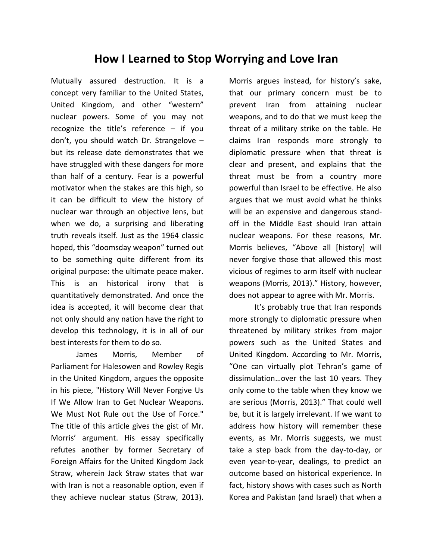## **How I Learned to Stop Worrying and Love Iran**

Mutually assured destruction. It is a concept very familiar to the United States, United Kingdom, and other "western" nuclear powers. Some of you may not recognize the title's reference – if you don't, you should watch Dr. Strangelove – but its release date demonstrates that we have struggled with these dangers for more than half of a century. Fear is a powerful motivator when the stakes are this high, so it can be difficult to view the history of nuclear war through an objective lens, but when we do, a surprising and liberating truth reveals itself. Just as the 1964 classic hoped, this "doomsday weapon" turned out to be something quite different from its original purpose: the ultimate peace maker. This is an historical irony that is quantitatively demonstrated. And once the idea is accepted, it will become clear that not only should any nation have the right to develop this technology, it is in all of our best interests for them to do so.

James Morris, Member of Parliament for Halesowen and Rowley Regis in the United Kingdom, argues the opposite in his piece, "History Will Never Forgive Us If We Allow Iran to Get Nuclear Weapons. We Must Not Rule out the Use of Force." The title of this article gives the gist of Mr. Morris' argument. His essay specifically refutes another by former Secretary of Foreign Affairs for the United Kingdom Jack Straw, wherein Jack Straw states that war with Iran is not a reasonable option, even if they achieve nuclear status (Straw, 2013).

Morris argues instead, for history's sake, that our primary concern must be to prevent Iran from attaining nuclear weapons, and to do that we must keep the threat of a military strike on the table. He claims Iran responds more strongly to diplomatic pressure when that threat is clear and present, and explains that the threat must be from a country more powerful than Israel to be effective. He also argues that we must avoid what he thinks will be an expensive and dangerous standoff in the Middle East should Iran attain nuclear weapons. For these reasons, Mr. Morris believes, "Above all [history] will never forgive those that allowed this most vicious of regimes to arm itself with nuclear weapons (Morris, 2013)." History, however, does not appear to agree with Mr. Morris.

It's probably true that Iran responds more strongly to diplomatic pressure when threatened by military strikes from major powers such as the United States and United Kingdom. According to Mr. Morris, "One can virtually plot Tehran's game of dissimulation…over the last 10 years. They only come to the table when they know we are serious (Morris, 2013)." That could well be, but it is largely irrelevant. If we want to address how history will remember these events, as Mr. Morris suggests, we must take a step back from the day-to-day, or even year-to-year, dealings, to predict an outcome based on historical experience. In fact, history shows with cases such as North Korea and Pakistan (and Israel) that when a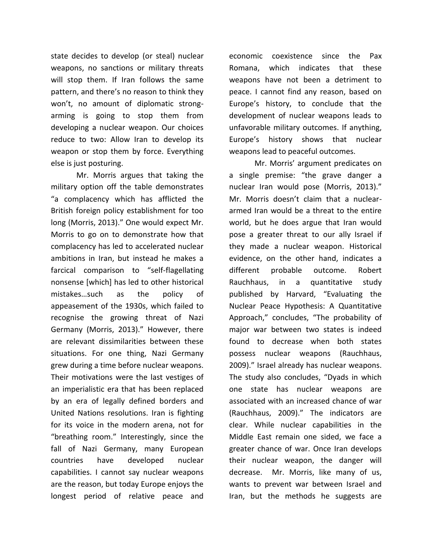state decides to develop (or steal) nuclear weapons, no sanctions or military threats will stop them. If Iran follows the same pattern, and there's no reason to think they won't, no amount of diplomatic strongarming is going to stop them from developing a nuclear weapon. Our choices reduce to two: Allow Iran to develop its weapon or stop them by force. Everything else is just posturing.

Mr. Morris argues that taking the military option off the table demonstrates "a complacency which has afflicted the British foreign policy establishment for too long (Morris, 2013)." One would expect Mr. Morris to go on to demonstrate how that complacency has led to accelerated nuclear ambitions in Iran, but instead he makes a farcical comparison to "self-flagellating nonsense [which] has led to other historical mistakes…such as the policy of appeasement of the 1930s, which failed to recognise the growing threat of Nazi Germany (Morris, 2013)." However, there are relevant dissimilarities between these situations. For one thing, Nazi Germany grew during a time before nuclear weapons. Their motivations were the last vestiges of an imperialistic era that has been replaced by an era of legally defined borders and United Nations resolutions. Iran is fighting for its voice in the modern arena, not for "breathing room." Interestingly, since the fall of Nazi Germany, many European countries have developed nuclear capabilities. I cannot say nuclear weapons are the reason, but today Europe enjoys the longest period of relative peace and economic coexistence since the Pax Romana, which indicates that these weapons have not been a detriment to peace. I cannot find any reason, based on Europe's history, to conclude that the development of nuclear weapons leads to unfavorable military outcomes. If anything, Europe's history shows that nuclear weapons lead to peaceful outcomes.

Mr. Morris' argument predicates on a single premise: "the grave danger a nuclear Iran would pose (Morris, 2013)." Mr. Morris doesn't claim that a nucleararmed Iran would be a threat to the entire world, but he does argue that Iran would pose a greater threat to our ally Israel if they made a nuclear weapon. Historical evidence, on the other hand, indicates a different probable outcome. Robert Rauchhaus, in a quantitative study published by Harvard, "Evaluating the Nuclear Peace Hypothesis: A Quantitative Approach," concludes, "The probability of major war between two states is indeed found to decrease when both states possess nuclear weapons (Rauchhaus, 2009)." Israel already has nuclear weapons. The study also concludes, "Dyads in which one state has nuclear weapons are associated with an increased chance of war (Rauchhaus, 2009)." The indicators are clear. While nuclear capabilities in the Middle East remain one sided, we face a greater chance of war. Once Iran develops their nuclear weapon, the danger will decrease. Mr. Morris, like many of us, wants to prevent war between Israel and Iran, but the methods he suggests are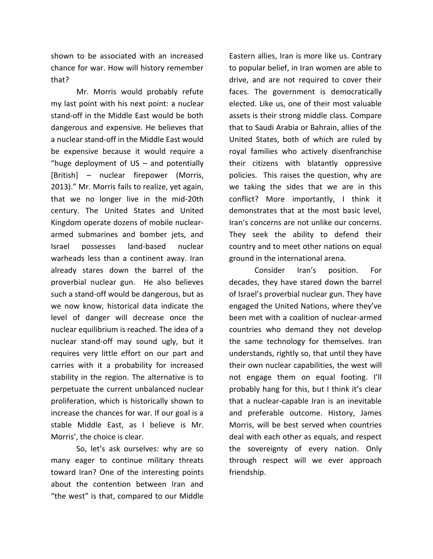shown to be associated with an increased chance for war. How will history remember that?

Mr. Morris would probably refute my last point with his next point: a nuclear stand-off in the Middle East would be both dangerous and expensive. He believes that a nuclear stand-off in the Middle East would be expensive because it would require a "huge deployment of US – and potentially [British] – nuclear firepower (Morris, 2013)." Mr. Morris fails to realize, yet again, that we no longer live in the mid-20th century. The United States and United Kingdom operate dozens of mobile nucleararmed submarines and bomber jets, and Israel possesses land-based nuclear warheads less than a continent away. Iran already stares down the barrel of the proverbial nuclear gun. He also believes such a stand-off would be dangerous, but as we now know, historical data indicate the level of danger will decrease once the nuclear equilibrium is reached. The idea of a nuclear stand-off may sound ugly, but it requires very little effort on our part and carries with it a probability for increased stability in the region. The alternative is to perpetuate the current unbalanced nuclear proliferation, which is historically shown to increase the chances for war. If our goal is a stable Middle East, as I believe is Mr. Morris', the choice is clear.

So, let's ask ourselves: why are so many eager to continue military threats toward Iran? One of the interesting points about the contention between Iran and "the west" is that, compared to our Middle

Eastern allies, Iran is more like us. Contrary to popular belief, in Iran women are able to drive, and are not required to cover their faces. The government is democratically elected. Like us, one of their most valuable assets is their strong middle class. Compare that to Saudi Arabia or Bahrain, allies of the United States, both of which are ruled by royal families who actively disenfranchise their citizens with blatantly oppressive policies. This raises the question, why are we taking the sides that we are in this conflict? More importantly, I think it demonstrates that at the most basic level, Iran's concerns are not unlike our concerns. They seek the ability to defend their country and to meet other nations on equal ground in the international arena.

Consider Iran's position. For decades, they have stared down the barrel of Israel's proverbial nuclear gun. They have engaged the United Nations, where they've been met with a coalition of nuclear-armed countries who demand they not develop the same technology for themselves. Iran understands, rightly so, that until they have their own nuclear capabilities, the west will not engage them on equal footing. I'll probably hang for this, but I think it's clear that a nuclear-capable Iran is an inevitable and preferable outcome. History, James Morris, will be best served when countries deal with each other as equals, and respect the sovereignty of every nation. Only through respect will we ever approach friendship.